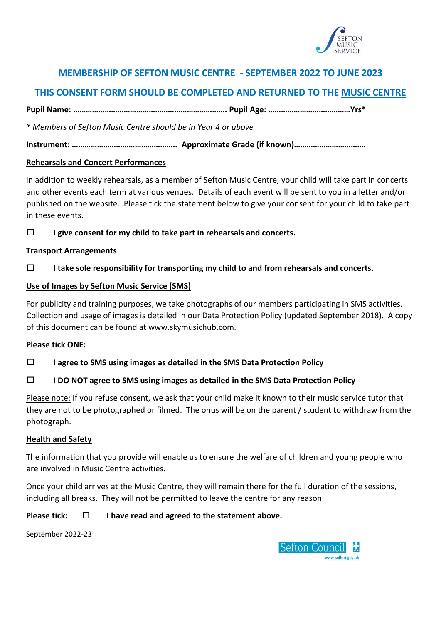

## **MEMBERSHIP OF SEFTON MUSIC CENTRE - SEPTEMBER 2022 TO JUNE 2023**

# **THIS CONSENT FORM SHOULD BE COMPLETED AND RETURNED TO THE MUSIC CENTRE**

**Pupil Name: ………………………………………………………………. Pupil Age: …………………………………Yrs\*** 

*\* Members of Sefton Music Centre should be in Year 4 or above* 

**Instrument: ………………………………………….. Approximate Grade (if known)…………………………….** 

## **Rehearsals and Concert Performances**

In addition to weekly rehearsals, as a member of Sefton Music Centre, your child will take part in concerts and other events each term at various venues. Details of each event will be sent to you in a letter and/or published on the website. Please tick the statement below to give your consent for your child to take part in these events.

**I give consent for my child to take part in rehearsals and concerts.**

## **Transport Arrangements**

**I take sole responsibility for transporting my child to and from rehearsals and concerts.** 

## **Use of Images by Sefton Music Service (SMS)**

For publicity and training purposes, we take photographs of our members participating in SMS activities. Collection and usage of images is detailed in our Data Protection Policy (updated September 2018). A copy of this document can be found at www.skymusichub.com.

#### **Please tick ONE:**

**I agree to SMS using images as detailed in the SMS Data Protection Policy** 

## **I DO NOT agree to SMS using images as detailed in the SMS Data Protection Policy**

Please note: If you refuse consent, we ask that your child make it known to their music service tutor that they are not to be photographed or filmed. The onus will be on the parent / student to withdraw from the photograph.

#### **Health and Safety**

The information that you provide will enable us to ensure the welfare of children and young people who are involved in Music Centre activities.

Once your child arrives at the Music Centre, they will remain there for the full duration of the sessions, including all breaks. They will not be permitted to leave the centre for any reason.

#### **Please tick: I have read and agreed to the statement above.**

September 2022-23